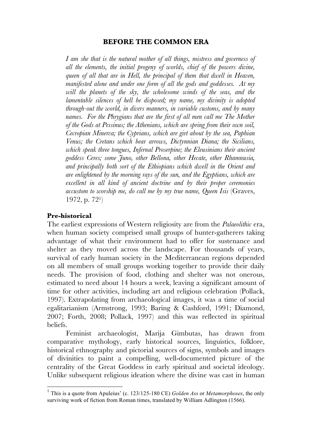## **BEFORE THE COMMON ERA**

*I am she that is the natural mother of all things, mistress and governess of all the elements, the initial progeny of worlds, chief of the powers divine, queen of all that are in Hell, the principal of them that dwell in Heaven, manifested alone and under one form of all the gods and goddesses. At my will the planets of the sky, the wholesome winds of the seas, and the lamentable silences of hell be disposed; my name, my divinity is adopted through-out the world, in divers manners, in variable customs, and by many names. For the Phrygians that are the first of all men call me The Mother of the Gods at Pessinus; the Athenians, which are spring from their own soil, Cecropian Minerva; the Cyprians, which are girt about by the sea, Paphian Venus; the Cretans which bear arrows, Dictynnian Diana; the Sicilians, which speak three tongues, Infernal Proserpine; the Eleusinians their ancient goddess Ceres; some Juno, other Bellona, other Hecate, other Rhamnusia, and principally both sort of the Ethiopians which dwell in the Orient and are enlightened by the morning rays of the sun, and the Egyptians, which are excellent in all kind of ancient doctrine and by their proper ceremonies accustom to worship me, do call me by my true name, Queen Isis* (Graves, 1972, p. 721)

## **Pre-historical**

The earliest expressions of Western religiosity are from the *Palaeolithic* era, when human society comprised small groups of hunter-gatherers taking advantage of what their environment had to offer for sustenance and shelter as they moved across the landscape. For thousands of years, survival of early human society in the Mediterranean regions depended on all members of small groups working together to provide their daily needs. The provision of food, clothing and shelter was not onerous, estimated to need about 14 hours a week, leaving a significant amount of time for other activities, including art and religious celebration (Pollack, 1997). Extrapolating from archaeological images, it was a time of social egalitarianism (Armstrong, 1993; Baring & Cashford, 1991; Diamond, 2007; Forth, 2008; Pollack, 1997) and this was reflected in spiritual beliefs.

Feminist archaeologist, Marija Gimbutas, has drawn from comparative mythology, early historical sources, linguistics, folklore, historical ethnography and pictorial sources of signs, symbols and images of divinities to paint a compelling, well-documented picture of the centrality of the Great Goddess in early spiritual and societal ideology. Unlike subsequent religious ideation where the divine was cast in human

 <sup>1</sup> This is a quote from Apuleius' (c. 123/125-180 CE) *Golden Ass* or *Metamorphoses*, the only surviving work of fiction from Roman times, translated by William Adlington (1566).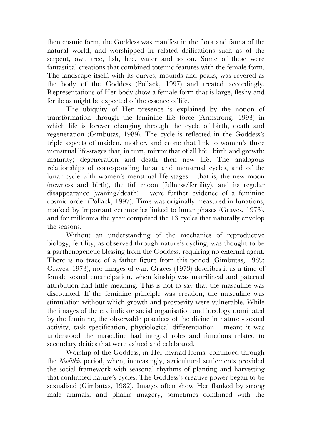then cosmic form, the Goddess was manifest in the flora and fauna of the natural world, and worshipped in related deifications such as of the serpent, owl, tree, fish, bee, water and so on. Some of these were fantastical creations that combined totemic features with the female form. The landscape itself, with its curves, mounds and peaks, was revered as the body of the Goddess (Pollack, 1997) and treated accordingly. Representations of Her body show a female form that is large, fleshy and fertile as might be expected of the essence of life.

The ubiquity of Her presence is explained by the notion of transformation through the feminine life force (Armstrong, 1993) in which life is forever changing through the cycle of birth, death and regeneration (Gimbutas, 1989). The cycle is reflected in the Goddess's triple aspects of maiden, mother, and crone that link to women's three menstrual life-stages that, in turn, mirror that of all life: birth and growth; maturity; degeneration and death then new life. The analogous relationships of corresponding lunar and menstrual cycles, and of the lunar cycle with women's menstrual life stages – that is, the new moon (newness and birth), the full moon (fullness/fertility), and its regular disappearance (waning/death) – were further evidence of a feminine cosmic order (Pollack, 1997). Time was originally measured in lunations, marked by important ceremonies linked to lunar phases (Graves, 1973), and for millennia the year comprised the 13 cycles that naturally envelop the seasons.

Without an understanding of the mechanics of reproductive biology, fertility, as observed through nature's cycling, was thought to be a parthenogenetic blessing from the Goddess, requiring no external agent. There is no trace of a father figure from this period (Gimbutas, 1989; Graves, 1973), nor images of war. Graves (1973) describes it as a time of female sexual emancipation, when kinship was matrilineal and paternal attribution had little meaning. This is not to say that the masculine was discounted. If the feminine principle was creation, the masculine was stimulation without which growth and prosperity were vulnerable. While the images of the era indicate social organisation and ideology dominated by the feminine, the observable practices of the divine in nature - sexual activity, task specification, physiological differentiation - meant it was understood the masculine had integral roles and functions related to secondary deities that were valued and celebrated.

Worship of the Goddess, in Her myriad forms, continued through the *Neolithic* period, when, increasingly, agricultural settlements provided the social framework with seasonal rhythms of planting and harvesting that confirmed nature's cycles. The Goddess's creative power began to be sexualised (Gimbutas, 1982). Images often show Her flanked by strong male animals; and phallic imagery, sometimes combined with the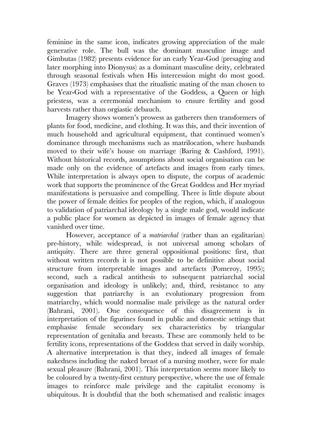feminine in the same icon, indicates growing appreciation of the male generative role. The bull was the dominant masculine image and Gimbutas (1982) presents evidence for an early Year-God (presaging and later morphing into Dionysus) as a dominant masculine deity, celebrated through seasonal festivals when His intercession might do most good. Graves (1973) emphasises that the ritualistic mating of the man chosen to be Year-God with a representative of the Goddess, a Queen or high priestess, was a ceremonial mechanism to ensure fertility and good harvests rather than orgiastic debauch.

Imagery shows women's prowess as gatherers then transformers of plants for food, medicine, and clothing. It was this, and their invention of much household and agricultural equipment, that continued women's dominance through mechanisms such as matrilocation, where husbands moved to their wife's house on marriage (Baring & Cashford, 1991). Without historical records, assumptions about social organisation can be made only on the evidence of artefacts and images from early times. While interpretation is always open to dispute, the corpus of academic work that supports the prominence of the Great Goddess and Her myriad manifestations is persuasive and compelling. There is little dispute about the power of female deities for peoples of the region, which, if analogous to validation of patriarchal ideology by a single male god, would indicate a public place for women as depicted in images of female agency that vanished over time.

However, acceptance of a *matriarchal* (rather than an egalitarian) pre-history, while widespread, is not universal among scholars of antiquity. There are three general oppositional positions: first, that without written records it is not possible to be definitive about social structure from interpretable images and artefacts (Pomeroy, 1995); second, such a radical antithesis to subsequent patriarchal social organisation and ideology is unlikely; and, third, resistance to any suggestion that patriarchy is an evolutionary progression from matriarchy, which would normalise male privilege as the natural order (Bahrani, 2001). One consequence of this disagreement is in interpretation of the figurines found in public and domestic settings that emphasise female secondary sex characteristics by triangular representation of genitalia and breasts. These are commonly held to be fertility icons, representations of the Goddess that served in daily worship. A alternative interpretation is that they, indeed all images of female nakedness including the naked breast of a nursing mother, were for male sexual pleasure (Bahrani, 2001). This interpretation seems more likely to be coloured by a twenty-first century perspective, where the use of female images to reinforce male privilege and the capitalist economy is ubiquitous. It is doubtful that the both schematised and realistic images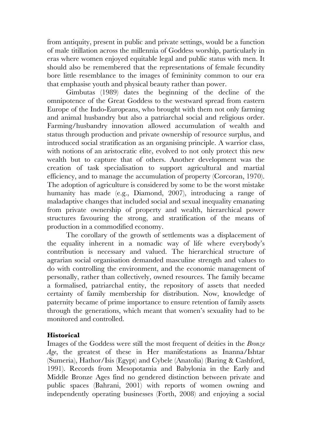from antiquity, present in public and private settings, would be a function of male titillation across the millennia of Goddess worship, particularly in eras where women enjoyed equitable legal and public status with men. It should also be remembered that the representations of female fecundity bore little resemblance to the images of femininity common to our era that emphasise youth and physical beauty rather than power.

Gimbutas (1989) dates the beginning of the decline of the omnipotence of the Great Goddess to the westward spread from eastern Europe of the Indo-Europeans, who brought with them not only farming and animal husbandry but also a patriarchal social and religious order. Farming/husbandry innovation allowed accumulation of wealth and status through production and private ownership of resource surplus, and introduced social stratification as an organising principle. A warrior class, with notions of an aristocratic elite, evolved to not only protect this new wealth but to capture that of others. Another development was the creation of task specialisation to support agricultural and martial efficiency, and to manage the accumulation of property (Corcoran, 1970). The adoption of agriculture is considered by some to be the worst mistake humanity has made (e.g., Diamond, 2007), introducing a range of maladaptive changes that included social and sexual inequality emanating from private ownership of property and wealth, hierarchical power structures favouring the strong, and stratification of the means of production in a commodified economy.

The corollary of the growth of settlements was a displacement of the equality inherent in a nomadic way of life where everybody's contribution is necessary and valued. The hierarchical structure of agrarian social organisation demanded masculine strength and values to do with controlling the environment, and the economic management of personally, rather than collectively, owned resources. The family became a formalised, patriarchal entity, the repository of assets that needed certainty of family membership for distribution. Now, knowledge of paternity became of prime importance to ensure retention of family assets through the generations, which meant that women's sexuality had to be monitored and controlled.

## **Historical**

Images of the Goddess were still the most frequent of deities in the *Bronze Age*, the greatest of these in Her manifestations as Inanna/Ishtar (Sumeria), Hathor/Isis (Egypt) and Cybele (Anatolia) (Baring & Cashford, 1991). Records from Mesopotamia and Babylonia in the Early and Middle Bronze Ages find no gendered distinction between private and public spaces (Bahrani, 2001) with reports of women owning and independently operating businesses (Forth, 2008) and enjoying a social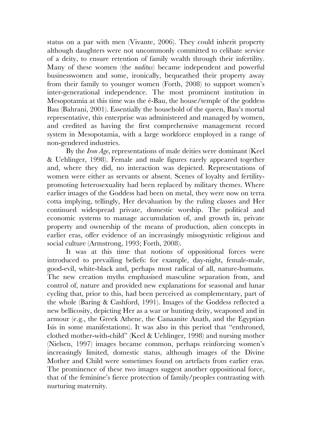status on a par with men (Vivante, 2006). They could inherit property although daughters were not uncommonly committed to celibate service of a deity, to ensure retention of family wealth through their infertility. Many of these women (the *naditus*) became independent and powerful businesswomen and some, ironically, bequeathed their property away from their family to younger women (Forth, 2008) to support women's inter-generational independence. The most prominent institution in Mesopotamia at this time was the é-Bau, the house/temple of the goddess Bau (Bahrani, 2001). Essentially the household of the queen, Bau's mortal representative, this enterprise was administered and managed by women, and credited as having the first comprehensive management record system in Mesopotamia, with a large workforce employed in a range of non-gendered industries.

By the *Iron Age*, representations of male deities were dominant (Keel & Uehlinger, 1998). Female and male figures rarely appeared together and, where they did, no interaction was depicted. Representations of women were either as servants or absent. Scenes of loyalty and fertilitypromoting heterosexuality had been replaced by military themes. Where earlier images of the Goddess had been on metal, they were now on terra cotta implying, tellingly, Her devaluation by the ruling classes and Her continued widespread private, domestic worship. The political and economic systems to manage accumulation of, and growth in, private property and ownership of the means of production, alien concepts in earlier eras, offer evidence of an increasingly misogynistic religious and social culture (Armstrong, 1993; Forth, 2008).

It was at this time that notions of oppositional forces were introduced to prevailing beliefs: for example, day-night, female-male, good-evil, white-black and, perhaps most radical of all, nature-humans. The new creation myths emphasised masculine separation from, and control of, nature and provided new explanations for seasonal and lunar cycling that, prior to this, had been perceived as complementary, part of the whole (Baring & Cashford, 1991). Images of the Goddess reflected a new bellicosity, depicting Her as a war or hunting deity, weaponed and in armour (e.g., the Greek Athene, the Canaanite Anath, and the Egyptian Isis in some manifestations). It was also in this period that "enthroned, clothed mother-with-child" (Keel & Uehlinger, 1998) and nursing mother (Nielsen, 1997) images became common, perhaps reinforcing women's increasingly limited, domestic status, although images of the Divine Mother and Child were sometimes found on artefacts from earlier eras. The prominence of these two images suggest another oppositional force, that of the feminine's fierce protection of family/peoples contrasting with nurturing maternity.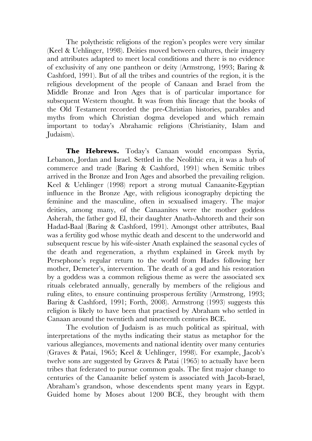The polytheistic religions of the region's peoples were very similar (Keel & Uehlinger, 1998). Deities moved between cultures, their imagery and attributes adapted to meet local conditions and there is no evidence of exclusivity of any one pantheon or deity (Armstrong, 1993; Baring & Cashford, 1991). But of all the tribes and countries of the region, it is the religious development of the people of Canaan and Israel from the Middle Bronze and Iron Ages that is of particular importance for subsequent Western thought. It was from this lineage that the books of the Old Testament recorded the pre-Christian histories, parables and myths from which Christian dogma developed and which remain important to today's Abrahamic religions (Christianity, Islam and Judaism).

**The Hebrews.** Today's Canaan would encompass Syria, Lebanon, Jordan and Israel. Settled in the Neolithic era, it was a hub of commerce and trade (Baring & Cashford, 1991) when Semitic tribes arrived in the Bronze and Iron Ages and absorbed the prevailing religion. Keel & Uehlinger (1998) report a strong mutual Canaanite-Egyptian influence in the Bronze Age, with religious iconography depicting the feminine and the masculine, often in sexualised imagery. The major deities, among many, of the Canaanites were the mother goddess Asherah, the father god El, their daughter Anath-Ashtoreth and their son Hadad-Baal (Baring & Cashford, 1991). Amongst other attributes, Baal was a fertility god whose mythic death and descent to the underworld and subsequent rescue by his wife-sister Anath explained the seasonal cycles of the death and regeneration, a rhythm explained in Greek myth by Persephone's regular return to the world from Hades following her mother, Demeter's, intervention. The death of a god and his restoration by a goddess was a common religious theme as were the associated sex rituals celebrated annually, generally by members of the religious and ruling elites, to ensure continuing prosperous fertility (Armstrong, 1993; Baring & Cashford, 1991; Forth, 2008). Armstrong (1993) suggests this religion is likely to have been that practised by Abraham who settled in Canaan around the twentieth and nineteenth centuries BCE.

The evolution of Judaism is as much political as spiritual, with interpretations of the myths indicating their status as metaphor for the various allegiances, movements and national identity over many centuries (Graves & Patai, 1965; Keel & Uehlinger, 1998). For example, Jacob's twelve sons are suggested by Graves & Patai (1965) to actually have been tribes that federated to pursue common goals. The first major change to centuries of the Canaanite belief system is associated with Jacob-Israel, Abraham's grandson, whose descendents spent many years in Egypt. Guided home by Moses about 1200 BCE, they brought with them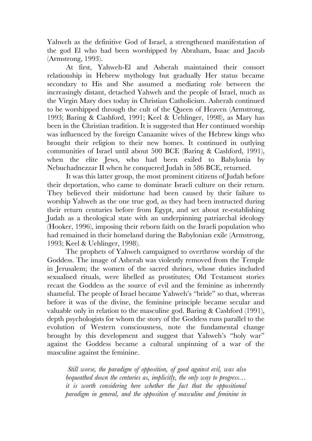Yahweh as the definitive God of Israel, a strengthened manifestation of the god El who had been worshipped by Abraham, Isaac and Jacob (Armstrong, 1993).

At first, Yahweh-El and Asherah maintained their consort relationship in Hebrew mythology but gradually Her status became secondary to His and She assumed a mediating role between the increasingly distant, detached Yahweh and the people of Israel, much as the Virgin Mary does today in Christian Catholicism. Asherah continued to be worshipped through the cult of the Queen of Heaven (Armstrong, 1993; Baring & Cashford, 1991; Keel & Uehlinger, 1998), as Mary has been in the Christian tradition. It is suggested that Her continued worship was influenced by the foreign Canaanite wives of the Hebrew kings who brought their religion to their new homes. It continued in outlying communities of Israel until about 500 BCE (Baring & Cashford, 1991), when the elite Jews, who had been exiled to Babylonia by Nebuchadnezzar II when he conquered Judah in 586 BCE, returned.

It was this latter group, the most prominent citizens of Judah before their deportation, who came to dominate Israeli culture on their return. They believed their misfortune had been caused by their failure to worship Yahweh as the one true god, as they had been instructed during their return centuries before from Egypt, and set about re-establishing Judah as a theological state with an underpinning patriarchal ideology (Hooker, 1996), imposing their reborn faith on the Israeli population who had remained in their homeland during the Babylonian exile (Armstrong, 1993; Keel & Uehlinger, 1998).

The prophets of Yahweh campaigned to overthrow worship of the Goddess. The image of Asherah was violently removed from the Temple in Jerusalem; the women of the sacred shrines, whose duties included sexualised rituals, were libelled as prostitutes; Old Testament stories recast the Goddess as the source of evil and the feminine as inherently shameful. The people of Israel became Yahweh's "bride" so that, whereas before it was of the divine, the feminine principle became secular and valuable only in relation to the masculine god. Baring & Cashford (1991), depth psychologists for whom the story of the Goddess runs parallel to the evolution of Western consciousness, note the fundamental change brought by this development and suggest that Yahweh's "holy war" against the Goddess became a cultural unpinning of a war of the masculine against the feminine.

*Still worse, the paradigm of opposition, of good against evil, was also bequeathed down the centuries as, implicitly, the only way to progress… it is worth considering here whether the fact that the oppositional paradigm in general, and the opposition of masculine and feminine in*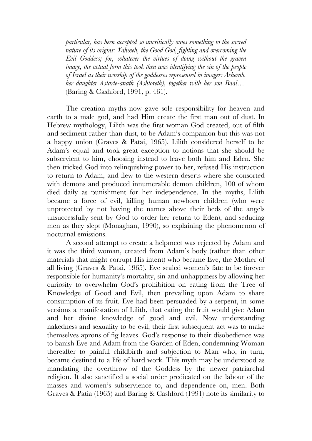*particular, has been accepted so uncritically owes something to the sacred nature of its origins: Yahweh, the Good God, fighting and overcoming the Evil Goddess; for, whatever the virtues of doing without the graven image, the actual form this took then was identifying the sin of the people of Israel as their worship of the goddesses represented in images: Asherah, her daughter Astarte-anath (Ashtoreth), together with her son Baal….* (Baring & Cashford, 1991, p. 461).

The creation myths now gave sole responsibility for heaven and earth to a male god, and had Him create the first man out of dust. In Hebrew mythology, Lilith was the first woman God created, out of filth and sediment rather than dust, to be Adam's companion but this was not a happy union (Graves & Patai, 1965). Lilith considered herself to be Adam's equal and took great exception to notions that she should be subservient to him, choosing instead to leave both him and Eden. She then tricked God into relinquishing power to her, refused His instruction to return to Adam, and flew to the western deserts where she consorted with demons and produced innumerable demon children, 100 of whom died daily as punishment for her independence. In the myths, Lilith became a force of evil, killing human newborn children (who were unprotected by not having the names above their beds of the angels unsuccessfully sent by God to order her return to Eden), and seducing men as they slept (Monaghan, 1990), so explaining the phenomenon of nocturnal emissions.

A second attempt to create a helpmeet was rejected by Adam and it was the third woman, created from Adam's body (rather than other materials that might corrupt His intent) who became Eve, the Mother of all living (Graves & Patai, 1965). Eve sealed women's fate to be forever responsible for humanity's mortality, sin and unhappiness by allowing her curiosity to overwhelm God's prohibition on eating from the Tree of Knowledge of Good and Evil, then prevailing upon Adam to share consumption of its fruit. Eve had been persuaded by a serpent, in some versions a manifestation of Lilith, that eating the fruit would give Adam and her divine knowledge of good and evil. Now understanding nakedness and sexuality to be evil, their first subsequent act was to make themselves aprons of fig leaves. God's response to their disobedience was to banish Eve and Adam from the Garden of Eden, condemning Woman thereafter to painful childbirth and subjection to Man who, in turn, became destined to a life of hard work. This myth may be understood as mandating the overthrow of the Goddess by the newer patriarchal religion. It also sanctified a social order predicated on the labour of the masses and women's subservience to, and dependence on, men. Both Graves & Patia (1965) and Baring & Cashford (1991) note its similarity to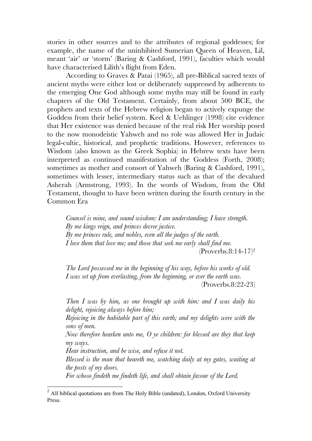stories in other sources and to the attributes of regional goddesses; for example, the name of the uninhibited Sumerian Queen of Heaven, Lil, meant 'air' or 'storm' (Baring & Cashford, 1991), faculties which would have characterised Lilith's flight from Eden.

According to Graves & Patai (1965), all pre-Biblical sacred texts of ancient myths were either lost or deliberately suppressed by adherents to the emerging One God although some myths may still be found in early chapters of the Old Testament. Certainly, from about 500 BCE, the prophets and texts of the Hebrew religion began to actively expunge the Goddess from their belief system. Keel & Uehlinger (1998) cite evidence that Her existence was denied because of the real risk Her worship posed to the now monodeistic Yahweh and no role was allowed Her in Judaic legal-cultic, historical, and prophetic traditions. However, references to Wisdom (also known as the Greek Sophia) in Hebrew texts have been interpreted as continued manifestation of the Goddess (Forth, 2008); sometimes as mother and consort of Yahweh (Baring & Cashford, 1991), sometimes with lesser, intermediary status such as that of the devalued Asherah (Armstrong, 1993). In the words of Wisdom, from the Old Testament, thought to have been written during the fourth century in the Common Era

*Counsel is mine, and sound wisdom: I am understanding; I have strength. By me kings reign, and princes decree justice. By me princes rule, and nobles, even all the judges of the earth. I love them that love me; and those that seek me early shall find me.*   $(Proverbs.8:14-17)^2$ 

*The Lord possessed me in the beginning of his way, before his works of old. I was set up from everlasting, from the beginning, or ever the earth was.* 

(Proverbs.8:22-23)

*Then I was by him, as one brought up with him: and I was daily his delight, rejoicing always before him;*

*Rejoicing in the habitable part of this earth; and my delights were with the sons of men.*

*Now therefore hearken unto me, O ye children: for blessed are they that keep my ways.*

*Hear instruction, and be wise, and refuse it not.*

*Blessed is the man that heareth me, watching daily at my gates, waiting at the posts of my doors.*

*For whoso findeth me findeth life, and shall obtain favour of the Lord.*

<sup>&</sup>lt;sup>2</sup> All biblical quotations are from The Holy Bible (undated), London, Oxford University Press.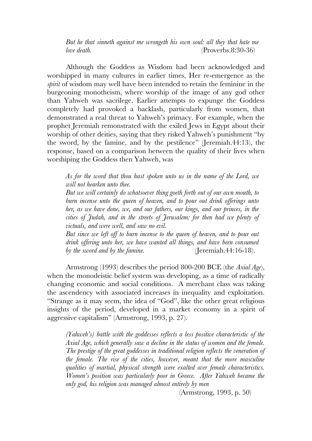*But he that sinneth against me wrongeth his own soul: all they that hate me love death.* (Proverbs.8:30-36)

Although the Goddess as Wisdom had been acknowledged and worshipped in many cultures in earlier times, Her re-emergence as the *spirit* of wisdom may well have been intended to retain the feminine in the burgeoning monotheism, where worship of the image of any god other than Yahweh was sacrilege. Earlier attempts to expunge the Goddess completely had provoked a backlash, particularly from women, that demonstrated a real threat to Yahweh's primacy. For example, when the prophet Jeremiah remonstrated with the exiled Jews in Egypt about their worship of other deities, saying that they risked Yahweh's punishment "by the sword, by the famine, and by the pestilence" (Jeremiah.44:13), the response, based on a comparison between the quality of their lives when worshiping the Goddess then Yahweh, was

*As for the word that thou hast spoken unto us in the name of the Lord, we will not hearken unto thee.*

*But we will certainly do whatsoever thing goeth forth out of our own mouth, to burn incense unto the queen of heaven, and to pour out drink offerings unto her, as we have done, we, and our fathers, our kings, and our princes, in the cities of Judah, and in the streets of Jerusalem: for then had we plenty of victuals, and were well, and saw no evil.*

*But since we left off to burn incense to the queen of heaven, and to pour out drink offering unto her, we have wanted all things, and have been consumed by the sword and by the famine.* (Jeremiah.44:16-18).

Armstrong (1993) describes the period 800-200 BCE (the *Axial Age*), when the monodeistic belief system was developing, as a time of radically changing economic and social conditions. A merchant class was taking the ascendency with associated increases in inequality and exploitation. "Strange as it may seem, the idea of "God", like the other great religious insights of the period, developed in a market economy in a spirit of aggressive capitalism" (Armstrong, 1993, p. 27).

*(Yahweh's) battle with the goddesses reflects a less positive characteristic of the Axial Age, which generally saw a decline in the status of women and the female. The prestige of the great goddesses in traditional religion reflects the veneration of the female. The rise of the cities, however, meant that the more masculine qualities of martial, physical strength were exalted over female characteristics. Women's position was particularly poor in Greece. After Yahweh became the only god, his religion was managed almost entirely by men* 

(Armstrong, 1993, p. 50)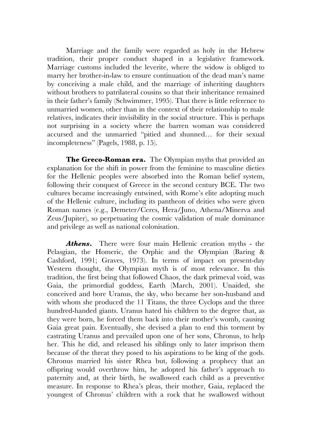Marriage and the family were regarded as holy in the Hebrew tradition, their proper conduct shaped in a legislative framework. Marriage customs included the leverite, where the widow is obliged to marry her brother-in-law to ensure continuation of the dead man's name by conceiving a male child, and the marriage of inheriting daughters without brothers to patrilateral cousins so that their inheritance remained in their father's family (Schwimmer, 1995). That there is little reference to unmarried women, other than in the context of their relationship to male relatives, indicates their invisibility in the social structure. This is perhaps not surprising in a society where the barren woman was considered accursed and the unmarried "pitied and shunned… for their sexual incompleteness" (Pagels, 1988, p. 15).

**The Greco-Roman era.** The Olympian myths that provided an explanation for the shift in power from the feminine to masculine dieties for the Hellenic peoples were absorbed into the Roman belief system, following their conquest of Greece in the second century BCE. The two cultures became increasingly entwined, with Rome's elite adopting much of the Hellenic culture, including its pantheon of deities who were given Roman names (e.g., Demeter/Ceres, Hera/Juno, Athena/Minerva and Zeus/Jupiter), so perpetuating the cosmic validation of male dominance and privilege as well as national colonisation.

*Athens***.** There were four main Hellenic creation myths - the Pelasgian, the Homeric, the Orphic and the Olympian (Baring & Cashford, 1991; Graves, 1973). In terms of impact on present-day Western thought, the Olympian myth is of most relevance. In this tradition, the first being that followed Chaos, the dark primeval void, was Gaia, the primordial goddess, Earth (March, 2001). Unaided, she conceived and bore Uranus, the sky, who became her son-husband and with whom she produced the 11 Titans, the three Cyclops and the three hundred-handed giants. Uranus hated his children to the degree that, as they were born, he forced them back into their mother's womb, causing Gaia great pain. Eventually, she devised a plan to end this torment by castrating Uranus and prevailed upon one of her sons, Chronus, to help her. This he did, and released his siblings only to later imprison them because of the threat they posed to his aspirations to be king of the gods. Chronus married his sister Rhea but, following a prophecy that an offspring would overthrow him, he adopted his father's approach to paternity and, at their birth, he swallowed each child as a preventive measure. In response to Rhea's pleas, their mother, Gaia, replaced the youngest of Chronus' children with a rock that he swallowed without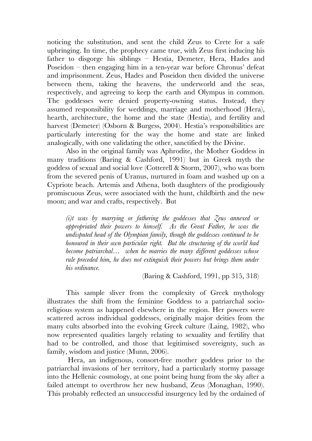noticing the substitution, and sent the child Zeus to Crete for a safe upbringing. In time, the prophecy came true, with Zeus first inducing his father to disgorge his siblings – Hestia, Demeter, Hera, Hades and Poseidon – then engaging him in a ten-year war before Chronus' defeat and imprisonment. Zeus, Hades and Poseidon then divided the universe between them, taking the heavens, the underworld and the seas, respectively, and agreeing to keep the earth and Olympus in common. The goddesses were denied property-owning status. Instead, they assumed responsibility for weddings, marriage and motherhood (Hera), hearth, architecture, the home and the state (Hestia), and fertility and harvest (Demeter) (Osborn & Burgess, 2004). Hestia's responsibilities are particularly interesting for the way the home and state are linked analogically, with one validating the other, sanctified by the Divine.

Also in the original family was Aphrodite, the Mother Goddess in many traditions (Baring & Cashford, 1991) but in Greek myth the goddess of sexual and social love (Cotterell & Storm, 2007), who was born from the severed penis of Uranus, nurtured in foam and washed up on a Cypriote beach. Artemis and Athena, both daughters of the prodigiously promiscuous Zeus, were associated with the hunt, childbirth and the new moon; and war and crafts, respectively. But

*(i)t was by marrying or fathering the goddesses that Zeus annexed or appropriated their powers to himself. As the Great Father, he was the undisputed head of the Olympian family, though the goddesses continued to be honoured in their own particular right. But the structuring of the world had become patriarchal… when he marries the many different goddesses whose rule preceded him, he does not extinguish their powers but brings them under his ordinance.*

(Baring & Cashford, 1991, pp 315, 318)

This sample sliver from the complexity of Greek mythology illustrates the shift from the feminine Goddess to a patriarchal socioreligious system as happened elsewhere in the region. Her powers were scattered across individual goddesses, originally major deities from the many cults absorbed into the evolving Greek culture (Laing, 1982), who now represented qualities largely relating to sexuality and fertility that had to be controlled, and those that legitimised sovereignty, such as family, wisdom and justice (Munn, 2006).

 Hera, an indigenous, consort-free mother goddess prior to the patriarchal invasions of her territory, had a particularly stormy passage into the Hellenic cosmology, at one point being hung from the sky after a failed attempt to overthrow her new husband, Zeus (Monaghan, 1990). This probably reflected an unsuccessful insurgency led by the ordained of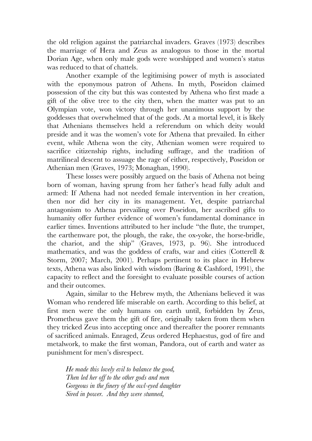the old religion against the patriarchal invaders. Graves (1973) describes the marriage of Hera and Zeus as analogous to those in the mortal Dorian Age, when only male gods were worshipped and women's status was reduced to that of chattels.

Another example of the legitimising power of myth is associated with the eponymous patron of Athens. In myth, Poseidon claimed possession of the city but this was contested by Athena who first made a gift of the olive tree to the city then, when the matter was put to an Olympian vote, won victory through her unanimous support by the goddesses that overwhelmed that of the gods. At a mortal level, it is likely that Athenians themselves held a referendum on which deity would preside and it was the women's vote for Athena that prevailed. In either event, while Athena won the city, Athenian women were required to sacrifice citizenship rights, including suffrage, and the tradition of matrilineal descent to assuage the rage of either, respectively, Poseidon or Athenian men (Graves, 1973; Monaghan, 1990).

These losses were possibly argued on the basis of Athena not being born of woman, having sprung from her father's head fully adult and armed: If Athena had not needed female intervention in her creation, then nor did her city in its management. Yet, despite patriarchal antagonism to Athena prevailing over Poseidon, her ascribed gifts to humanity offer further evidence of women's fundamental dominance in earlier times. Inventions attributed to her include "the flute, the trumpet, the earthenware pot, the plough, the rake, the ox-yoke, the horse-bridle, the chariot, and the ship" (Graves, 1973, p. 96). She introduced mathematics, and was the goddess of crafts, war and cities (Cotterell & Storm, 2007; March, 2001). Perhaps pertinent to its place in Hebrew texts, Athena was also linked with wisdom (Baring & Cashford, 1991), the capacity to reflect and the foresight to evaluate possible courses of action and their outcomes.

Again, similar to the Hebrew myth, the Athenians believed it was Woman who rendered life miserable on earth. According to this belief, at first men were the only humans on earth until, forbidden by Zeus, Prometheus gave them the gift of fire, originally taken from them when they tricked Zeus into accepting once and thereafter the poorer remnants of sacrificed animals. Enraged, Zeus ordered Hephaestus, god of fire and metalwork, to make the first woman, Pandora, out of earth and water as punishment for men's disrespect.

*He made this lovely evil to balance the good, Then led her off to the other gods and men Gorgeous in the finery of the owl-eyed daughter Sired in power. And they were stunned,*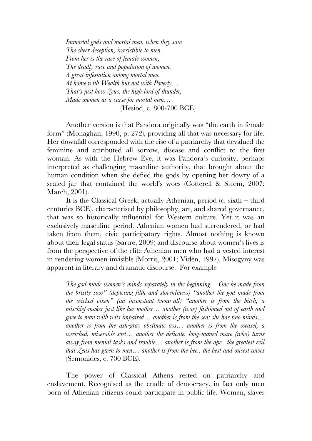*Immortal gods and mortal men, when they saw The sheer deception, irresistible to men. From her is the race of female women, The deadly race and population of women, A great infestation among mortal men, At home with Wealth but not with Poverty… That's just how Zeus, the high lord of thunder, Made women as a curse for mortal men…* (Hesiod, c. 800-700 BCE)

Another version is that Pandora originally was "the earth in female form" (Monaghan, 1990, p. 272), providing all that was necessary for life. Her downfall corresponded with the rise of a patriarchy that devalued the feminine and attributed all sorrow, disease and conflict to the first woman. As with the Hebrew Eve, it was Pandora's curiosity, perhaps interpreted as challenging masculine authority, that brought about the human condition when she defied the gods by opening her dowry of a sealed jar that contained the world's woes (Cotterell & Storm, 2007; March, 2001).

It is the Classical Greek, actually Athenian, period (c. sixth – third centuries BCE), characterised by philosophy, art, and shared governance, that was so historically influential for Western culture. Yet it was an exclusively masculine period. Athenian women had surrendered, or had taken from them, civic participatory rights. Almost nothing is known about their legal status (Sartre, 2009) and discourse about women's lives is from the perspective of the elite Athenian men who had a vested interest in rendering women invisible (Morris, 2001; Vidén, 1997). Misogyny was apparent in literary and dramatic discourse. For example

*The god made women's minds separately in the beginning. One he made from the bristly sow" (depicting filth and slovenliness) "another the god made from the wicked vixen" (an inconstant know-all) "another is from the bitch, a mischief-maker just like her mother… another (was) fashioned out of earth and gave to man with wits impaired… another is from the sea: she has two minds… another is from the ash-gray obstinate ass… another is from the weasel, a wretched, miserable sort… another the delicate, long-maned mare (who) turns away from menial tasks and trouble… another is from the ape.. the greatest evil that Zeus has given to men… another is from the bee.. the best and wisest wives*  (Semonides, c. 700 BCE).

The power of Classical Athens rested on patriarchy and enslavement. Recognised as the cradle of democracy, in fact only men born of Athenian citizens could participate in public life. Women, slaves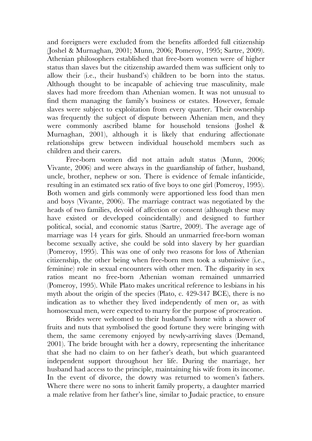and foreigners were excluded from the benefits afforded full citizenship (Joshel & Murnaghan, 2001; Munn, 2006; Pomeroy, 1995; Sartre, 2009). Athenian philosophers established that free-born women were of higher status than slaves but the citizenship awarded them was sufficient only to allow their (i.e., their husband's) children to be born into the status. Although thought to be incapable of achieving true masculinity, male slaves had more freedom than Athenian women. It was not unusual to find them managing the family's business or estates. However, female slaves were subject to exploitation from every quarter. Their ownership was frequently the subject of dispute between Athenian men, and they were commonly ascribed blame for household tensions (Joshel & Murnaghan, 2001), although it is likely that enduring affectionate relationships grew between individual household members such as children and their carers.

Free-born women did not attain adult status (Munn, 2006; Vivante, 2006) and were always in the guardianship of father, husband, uncle, brother, nephew or son. There is evidence of female infanticide, resulting in an estimated sex ratio of five boys to one girl (Pomeroy, 1995). Both women and girls commonly were apportioned less food than men and boys (Vivante, 2006). The marriage contract was negotiated by the heads of two families, devoid of affection or consent (although these may have existed or developed coincidentally) and designed to further political, social, and economic status (Sartre, 2009). The average age of marriage was 14 years for girls. Should an unmarried free-born woman become sexually active, she could be sold into slavery by her guardian (Pomeroy, 1995). This was one of only two reasons for loss of Athenian citizenship, the other being when free-born men took a submissive (i.e., feminine) role in sexual encounters with other men. The disparity in sex ratios meant no free-born Athenian woman remained unmarried (Pomeroy, 1995). While Plato makes uncritical reference to lesbians in his myth about the origin of the species (Plato, c. 429-347 BCE), there is no indication as to whether they lived independently of men or, as with homosexual men, were expected to marry for the purpose of procreation.

Brides were welcomed to their husband's home with a shower of fruits and nuts that symbolised the good fortune they were bringing with them, the same ceremony enjoyed by newly-arriving slaves (Demand, 2001). The bride brought with her a dowry, representing the inheritance that she had no claim to on her father's death, but which guaranteed independent support throughout her life. During the marriage, her husband had access to the principle, maintaining his wife from its income. In the event of divorce, the dowry was returned to women's fathers. Where there were no sons to inherit family property, a daughter married a male relative from her father's line, similar to Judaic practice, to ensure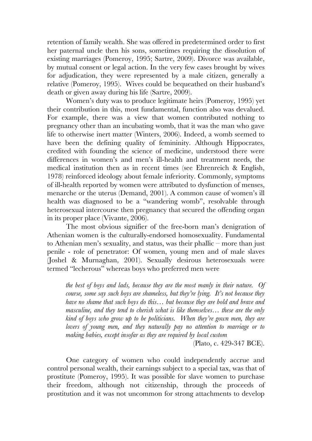retention of family wealth. She was offered in predetermined order to first her paternal uncle then his sons, sometimes requiring the dissolution of existing marriages (Pomeroy, 1995; Sartre, 2009). Divorce was available, by mutual consent or legal action. In the very few cases brought by wives for adjudication, they were represented by a male citizen, generally a relative (Pomeroy, 1995). Wives could be bequeathed on their husband's death or given away during his life (Sartre, 2009).

Women's duty was to produce legitimate heirs (Pomeroy, 1995) yet their contribution in this, most fundamental, function also was devalued. For example, there was a view that women contributed nothing to pregnancy other than an incubating womb, that it was the man who gave life to otherwise inert matter (Winters, 2006). Indeed, a womb seemed to have been the defining quality of femininity. Although Hippocrates, credited with founding the science of medicine, understood there were differences in women's and men's ill-health and treatment needs, the medical institution then as in recent times (see Ehrenreich & English, 1978) reinforced ideology about female inferiority. Commonly, symptoms of ill-health reported by women were attributed to dysfunction of menses, menarche or the uterus (Demand, 2001). A common cause of women's ill health was diagnosed to be a "wandering womb", resolvable through heterosexual intercourse then pregnancy that secured the offending organ in its proper place (Vivante, 2006).

The most obvious signifier of the free-born man's denigration of Athenian women is the culturally-endorsed homosexuality. Fundamental to Athenian men's sexuality, and status, was their phallic – more than just penile - role of penetrator: Of women, young men and of male slaves (Joshel & Murnaghan, 2001). Sexually desirous heterosexuals were termed "lecherous" whereas boys who preferred men were

*the best of boys and lads, because they are the most manly in their nature. Of course, some say such boys are shameless, but they're lying. It's not because they have no shame that such boys do this… but because they are bold and brave and masculine, and they tend to cherish what is like themselves… these are the only kind of boys who grow up to be politicians. When they're gown men, they are lovers of young men, and they naturally pay no attention to marriage or to making babies, except insofar as they are required by local custom*

(Plato, c. 429-347 BCE).

One category of women who could independently accrue and control personal wealth, their earnings subject to a special tax, was that of prostitute (Pomeroy, 1995). It was possible for slave women to purchase their freedom, although not citizenship, through the proceeds of prostitution and it was not uncommon for strong attachments to develop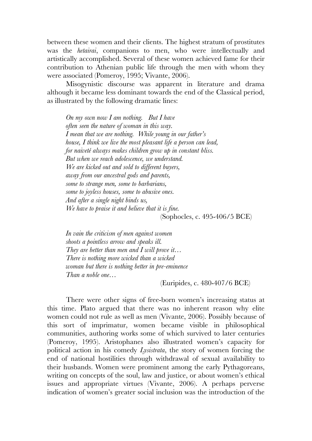between these women and their clients. The highest stratum of prostitutes was the *hetairai*, companions to men, who were intellectually and artistically accomplished. Several of these women achieved fame for their contribution to Athenian public life through the men with whom they were associated (Pomeroy, 1995; Vivante, 2006).

Misogynistic discourse was apparent in literature and drama although it became less dominant towards the end of the Classical period, as illustrated by the following dramatic lines:

*On my own now I am nothing. But I have often seen the nature of woman in this way. I mean that we are nothing. While young in our father's house, I think we live the most pleasant life a person can lead, for naiveté always makes children grow up in constant bliss. But when we reach adolescence, we understand. We are kicked out and sold to different buyers, away from our ancestral gods and parents, some to strange men, some to barbarians, some to joyless houses, some to abusive ones. And after a single night binds us, We have to praise it and believe that it is fine.* (Sophocles, c. 495-406/5 BCE)

*In vain the criticism of men against women shoots a pointless arrow and speaks ill. They are better than men and I will prove it… There is nothing more wicked than a wicked woman but there is nothing better in pre-eminence Than a noble one…*

(Euripides, c. 480-407/6 BCE)

There were other signs of free-born women's increasing status at this time. Plato argued that there was no inherent reason why elite women could not rule as well as men (Vivante, 2006). Possibly because of this sort of imprimatur, women became visible in philosophical communities, authoring works some of which survived to later centuries (Pomeroy, 1995). Aristophanes also illustrated women's capacity for political action in his comedy *Lysistrata*, the story of women forcing the end of national hostilities through withdrawal of sexual availability to their husbands. Women were prominent among the early Pythagoreans, writing on concepts of the soul, law and justice, or about women's ethical issues and appropriate virtues (Vivante, 2006). A perhaps perverse indication of women's greater social inclusion was the introduction of the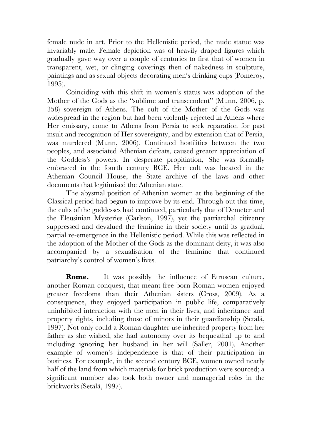female nude in art. Prior to the Hellenistic period, the nude statue was invariably male. Female depiction was of heavily draped figures which gradually gave way over a couple of centuries to first that of women in transparent, wet, or clinging coverings then of nakedness in sculpture, paintings and as sexual objects decorating men's drinking cups (Pomeroy, 1995).

Coinciding with this shift in women's status was adoption of the Mother of the Gods as the "sublime and transcendent" (Munn, 2006, p. 358) sovereign of Athens. The cult of the Mother of the Gods was widespread in the region but had been violently rejected in Athens where Her emissary, come to Athens from Persia to seek reparation for past insult and recognition of Her sovereignty, and by extension that of Persia, was murdered (Munn, 2006). Continued hostilities between the two peoples, and associated Athenian defeats, caused greater appreciation of the Goddess's powers. In desperate propitiation, She was formally embraced in the fourth century BCE. Her cult was located in the Athenian Council House, the State archive of the laws and other documents that legitimised the Athenian state.

The abysmal position of Athenian women at the beginning of the Classical period had begun to improve by its end. Through-out this time, the cults of the goddesses had continued, particularly that of Demeter and the Eleusinian Mysteries (Carlson, 1997), yet the patriarchal citizenry suppressed and devalued the feminine in their society until its gradual, partial re-emergence in the Hellenistic period. While this was reflected in the adoption of the Mother of the Gods as the dominant deity, it was also accompanied by a sexualisation of the feminine that continued patriarchy's control of women's lives.

**Rome.** It was possibly the influence of Etruscan culture, another Roman conquest, that meant free-born Roman women enjoyed greater freedoms than their Athenian sisters (Cross, 2009). As a consequence, they enjoyed participation in public life, comparatively uninhibited interaction with the men in their lives, and inheritance and property rights, including those of minors in their guardianship (Setälä, 1997). Not only could a Roman daughter use inherited property from her father as she wished, she had autonomy over its bequeathal up to and including ignoring her husband in her will (Saller, 2001). Another example of women's independence is that of their participation in business. For example, in the second century BCE, women owned nearly half of the land from which materials for brick production were sourced; a significant number also took both owner and managerial roles in the brickworks (Setälä, 1997).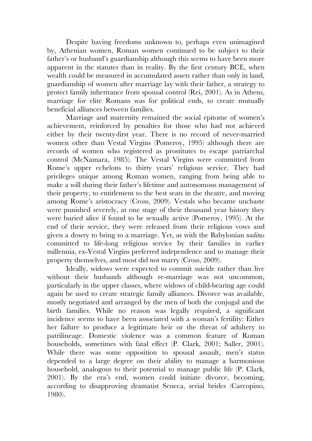Despite having freedoms unknown to, perhaps even unimagined by, Athenian women, Roman women continued to be subject to their father's or husband's guardianship although this seems to have been more apparent in the statutes than in reality. By the first century BCE, when wealth could be measured in accumulated assets rather than only in land, guardianship of women after marriage lay with their father, a strategy to protect family inheritance from spousal control (Rei, 2001). As in Athens, marriage for elite Romans was for political ends, to create mutually beneficial alliances between families.

Marriage and maternity remained the social epitome of women's achievement, reinforced by penalties for those who had not achieved either by their twenty-first year. There is no record of never-married women other than Vestal Virgins (Pomeroy, 1995) although there are records of women who registered as prostitutes to escape patriarchal control (McNamara, 1985). The Vestal Virgins were committed from Rome's upper echelons to thirty years' religious service. They had privileges unique among Roman women, ranging from being able to make a will during their father's lifetime and autonomous management of their property, to entitlement to the best seats in the theatre, and moving among Rome's aristocracy (Cross, 2009). Vestals who became unchaste were punished severely, at one stage of their thousand year history they were buried alive if found to be sexually active (Pomeroy, 1995). At the end of their service, they were released from their religious vows and given a dowry to bring to a marriage. Yet, as with the Babylonian *naditus* committed to life-long religious service by their families in earlier millennia, ex-Vestal Virgins preferred independence and to manage their property themselves, and most did not marry (Cross, 2009).

Ideally, widows were expected to commit suicide rather than live without their husbands although re-marriage was not uncommon, particularly in the upper classes, where widows of child-bearing age could again be used to create strategic family alliances. Divorce was available, mostly negotiated and arranged by the men of both the conjugal and the birth families. While no reason was legally required, a significant incidence seems to have been associated with a woman's fertility: Either her failure to produce a legitimate heir or the threat of adultery to patrilineage. Domestic violence was a common feature of Roman households, sometimes with fatal effect (P. Clark, 2001; Saller, 2001). While there was some opposition to spousal assault, men's status depended to a large degree on their ability to manage a harmonious household, analogous to their potential to manage public life (P. Clark, 2001). By the era's end, women could initiate divorce, becoming, according to disapproving dramatist Seneca, serial brides (Carcopino, 1980).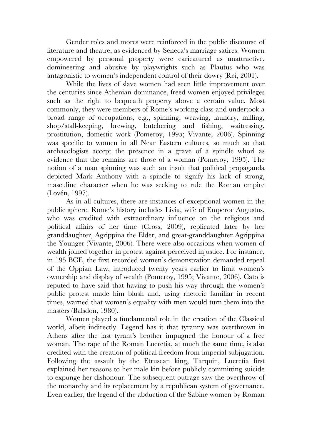Gender roles and mores were reinforced in the public discourse of literature and theatre, as evidenced by Seneca's marriage satires. Women empowered by personal property were caricatured as unattractive, domineering and abusive by playwrights such as Plautus who was antagonistic to women's independent control of their dowry (Rei, 2001).

While the lives of slave women had seen little improvement over the centuries since Athenian dominance, freed women enjoyed privileges such as the right to bequeath property above a certain value. Most commonly, they were members of Rome's working class and undertook a broad range of occupations, e.g., spinning, weaving, laundry, milling, shop/stall-keeping, brewing, butchering and fishing, waitressing, prostitution, domestic work (Pomeroy, 1995; Vivante, 2006). Spinning was specific to women in all Near Eastern cultures, so much so that archaeologists accept the presence in a grave of a spindle whorl as evidence that the remains are those of a woman (Pomeroy, 1995). The notion of a man spinning was such an insult that political propaganda depicted Mark Anthony with a spindle to signify his lack of strong, masculine character when he was seeking to rule the Roman empire (Lovén, 1997).

As in all cultures, there are instances of exceptional women in the public sphere. Rome's history includes Livia, wife of Emperor Augustus, who was credited with extraordinary influence on the religious and political affairs of her time (Cross, 2009), replicated later by her granddaughter, Agrippina the Elder, and great-granddaughter Agrippina the Younger (Vivante, 2006). There were also occasions when women of wealth joined together in protest against perceived injustice. For instance, in 195 BCE, the first recorded women's demonstration demanded repeal of the Oppian Law, introduced twenty years earlier to limit women's ownership and display of wealth (Pomeroy, 1995; Vivante, 2006). Cato is reputed to have said that having to push his way through the women's public protest made him blush and, using rhetoric familiar in recent times, warned that women's equality with men would turn them into the masters (Balsdon, 1980).

Women played a fundamental role in the creation of the Classical world, albeit indirectly. Legend has it that tyranny was overthrown in Athens after the last tyrant's brother impugned the honour of a free woman. The rape of the Roman Lucretia, at much the same time, is also credited with the creation of political freedom from imperial subjugation. Following the assault by the Etruscan king, Tarquin, Lucretia first explained her reasons to her male kin before publicly committing suicide to expunge her dishonour. The subsequent outrage saw the overthrow of the monarchy and its replacement by a republican system of governance. Even earlier, the legend of the abduction of the Sabine women by Roman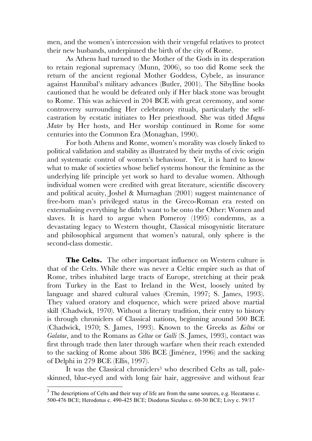men, and the women's intercession with their vengeful relatives to protect their new husbands, underpinned the birth of the city of Rome.

As Athens had turned to the Mother of the Gods in its desperation to retain regional supremacy (Munn, 2006), so too did Rome seek the return of the ancient regional Mother Goddess, Cybele, as insurance against Hannibal's military advances (Butler, 2001). The Sibylline books cautioned that he would be defeated only if Her black stone was brought to Rome. This was achieved in 204 BCE with great ceremony, and some controversy surrounding Her celebratory rituals, particularly the selfcastration by ecstatic initiates to Her priesthood. She was titled *Magna Mater* by Her hosts, and Her worship continued in Rome for some centuries into the Common Era (Monaghan, 1990).

For both Athens and Rome, women's morality was closely linked to political validation and stability as illustrated by their myths of civic origin and systematic control of women's behaviour. Yet, it is hard to know what to make of societies whose belief systems honour the feminine as the underlying life principle yet work so hard to devalue women. Although individual women were credited with great literature, scientific discovery and political acuity, Joshel & Murnaghan (2001) suggest maintenance of free-born man's privileged status in the Greco-Roman era rested on externalising everything he didn't want to be onto the Other: Women and slaves. It is hard to argue when Pomeroy (1995) condemns, as a devastating legacy to Western thought, Classical misogynistic literature and philosophical argument that women's natural, only sphere is the second-class domestic.

**The Celts.** The other important influence on Western culture is that of the Celts. While there was never a Celtic empire such as that of Rome, tribes inhabited large tracts of Europe, stretching at their peak from Turkey in the East to Ireland in the West, loosely united by language and shared cultural values (Cremin, 1997; S. James, 1993). They valued oratory and eloquence, which were prized above martial skill (Chadwick, 1970). Without a literary tradition, their entry to history is through chroniclers of Classical nations, beginning around 500 BCE (Chadwick, 1970; S. James, 1993). Known to the Greeks as *Keltoi* or *Galatae*, and to the Romans as *Celtae* or *Galli* (S. James, 1993), contact was first through trade then later through warfare when their reach extended to the sacking of Rome about 386 BCE (Jiménez, 1996) and the sacking of Delphi in 279 BCE (Ellis, 1997).

It was the Classical chroniclers<sup>3</sup> who described Celts as tall, paleskinned, blue-eyed and with long fair hair, aggressive and without fear

 $3$  The descriptions of Celts and their way of life are from the same sources, e.g. Hecataeus c. 500-476 BCE; Herodotus c. 490-425 BCE; Diodorus Siculus c. 60-30 BCE; Livy c. 59/17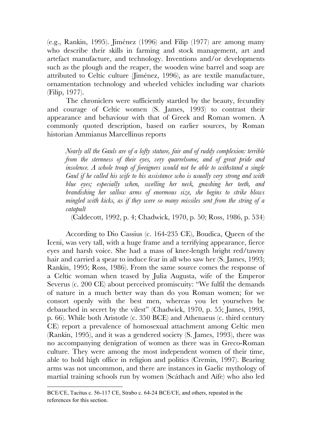(e.g., Rankin, 1995). Jiménez (1996) and Filip (1977) are among many who describe their skills in farming and stock management, art and artefact manufacture, and technology. Inventions and/or developments such as the plough and the reaper, the wooden wine barrel and soap are attributed to Celtic culture (Jiménez, 1996), as are textile manufacture, ornamentation technology and wheeled vehicles including war chariots (Filip, 1977).

The chroniclers were sufficiently startled by the beauty, fecundity and courage of Celtic women (S. James, 1993) to contrast their appearance and behaviour with that of Greek and Roman women. A commonly quoted description, based on earlier sources, by Roman historian Ammianus Marcellinus reports

*Nearly all the Gauls are of a lofty stature, fair and of ruddy complexion: terrible from the sternness of their eyes, very quarrelsome, and of great pride and insolence. A whole troup of foreigners would not be able to withstand a single Gaul if he called his wife to his assistance who is usually very strong and with blue eyes; especially when, swelling her neck, gnashing her teeth, and brandishing her sallow arms of enormous size, she begins to strike blows mingled with kicks, as if they were so many missiles sent from the string of a catapult* 

(Caldecott, 1992, p. 4; Chadwick, 1970, p. 50; Ross, 1986, p. 534)

According to Dio Cassius (c. 164-235 CE), Boudica, Queen of the Iceni, was very tall, with a huge frame and a terrifying appearance, fierce eyes and harsh voice. She had a mass of knee-length bright red/tawny hair and carried a spear to induce fear in all who saw her (S. James, 1993; Rankin, 1995; Ross, 1986). From the same source comes the response of a Celtic woman when teased by Julia Augusta, wife of the Emperor Severus (c. 200 CE) about perceived promiscuity: "We fulfil the demands of nature in a much better way than do you Roman women; for we consort openly with the best men, whereas you let yourselves be debauched in secret by the vilest" (Chadwick, 1970, p. 55; James, 1993, p. 66). While both Aristotle (c. 350 BCE) and Athenaeus (c. third century CE) report a prevalence of homosexual attachment among Celtic men (Rankin, 1995), and it was a gendered society (S. James, 1993), there was no accompanying denigration of women as there was in Greco-Roman culture. They were among the most independent women of their time, able to hold high office in religion and politics (Cremin, 1997). Bearing arms was not uncommon, and there are instances in Gaelic mythology of martial training schools run by women (Scáthach and Aífe) who also led

<u>.</u>

BCE/CE, Tacitus c. 56-117 CE, Strabo c. 64-24 BCE/CE, and others, repeated in the references for this section.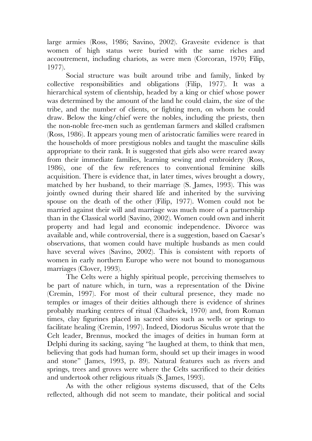large armies (Ross, 1986; Savino, 2002). Gravesite evidence is that women of high status were buried with the same riches and accoutrement, including chariots, as were men (Corcoran, 1970; Filip, 1977).

Social structure was built around tribe and family, linked by collective responsibilities and obligations (Filip, 1977). It was a hierarchical system of clientship, headed by a king or chief whose power was determined by the amount of the land he could claim, the size of the tribe, and the number of clients, or fighting men, on whom he could draw. Below the king/chief were the nobles, including the priests, then the non-noble free-men such as gentleman farmers and skilled craftsmen (Ross, 1986). It appears young men of aristocratic families were reared in the households of more prestigious nobles and taught the masculine skills appropriate to their rank. It is suggested that girls also were reared away from their immediate families, learning sewing and embroidery (Ross, 1986), one of the few references to conventional feminine skills acquisition. There is evidence that, in later times, wives brought a dowry, matched by her husband, to their marriage (S. James, 1993). This was jointly owned during their shared life and inherited by the surviving spouse on the death of the other (Filip, 1977). Women could not be married against their will and marriage was much more of a partnership than in the Classical world (Savino, 2002). Women could own and inherit property and had legal and economic independence. Divorce was available and, while controversial, there is a suggestion, based on Caesar's observations, that women could have multiple husbands as men could have several wives (Savino, 2002). This is consistent with reports of women in early northern Europe who were not bound to monogamous marriages (Clover, 1993).

The Celts were a highly spiritual people, perceiving themselves to be part of nature which, in turn, was a representation of the Divine (Cremin, 1997). For most of their cultural presence, they made no temples or images of their deities although there is evidence of shrines probably marking centres of ritual (Chadwick, 1970) and, from Roman times, clay figurines placed in sacred sites such as wells or springs to facilitate healing (Cremin, 1997). Indeed, Diodorus Siculus wrote that the Celt leader, Brennus, mocked the images of deities in human form at Delphi during its sacking, saying "he laughed at them, to think that men, believing that gods had human form, should set up their images in wood and stone" (James, 1993, p. 89). Natural features such as rivers and springs, trees and groves were where the Celts sacrificed to their deities and undertook other religious rituals (S. James, 1993).

As with the other religious systems discussed, that of the Celts reflected, although did not seem to mandate, their political and social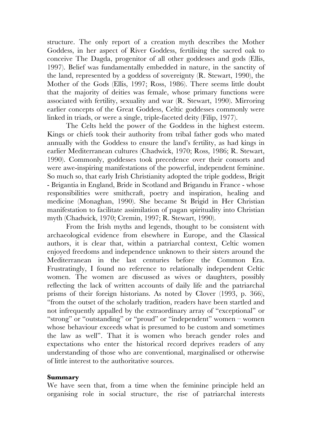structure. The only report of a creation myth describes the Mother Goddess, in her aspect of River Goddess, fertilising the sacred oak to conceive The Dagda, progenitor of all other goddesses and gods (Ellis, 1997). Belief was fundamentally embedded in nature, in the sanctity of the land, represented by a goddess of sovereignty (R. Stewart, 1990), the Mother of the Gods (Ellis, 1997; Ross, 1986). There seems little doubt that the majority of deities was female, whose primary functions were associated with fertility, sexuality and war (R. Stewart, 1990). Mirroring earlier concepts of the Great Goddess, Celtic goddesses commonly were linked in triads, or were a single, triple-faceted deity (Filip, 1977).

The Celts held the power of the Goddess in the highest esteem. Kings or chiefs took their authority from tribal father gods who mated annually with the Goddess to ensure the land's fertility, as had kings in earlier Mediterranean cultures (Chadwick, 1970; Ross, 1986; R. Stewart, 1990). Commonly, goddesses took precedence over their consorts and were awe-inspiring manifestations of the powerful, independent feminine. So much so, that early Irish Christianity adopted the triple goddess, Brigit - Brigantia in England, Bride in Scotland and Brigandu in France - whose responsibilities were smithcraft, poetry and inspiration, healing and medicine (Monaghan, 1990). She became St Brigid in Her Christian manifestation to facilitate assimilation of pagan spirituality into Christian myth (Chadwick, 1970; Cremin, 1997; R. Stewart, 1990).

From the Irish myths and legends, thought to be consistent with archaeological evidence from elsewhere in Europe, and the Classical authors, it is clear that, within a patriarchal context, Celtic women enjoyed freedoms and independence unknown to their sisters around the Mediterranean in the last centuries before the Common Era. Frustratingly, I found no reference to relationally independent Celtic women. The women are discussed as wives or daughters, possibly reflecting the lack of written accounts of daily life and the patriarchal prisms of their foreign historians. As noted by Clover (1993, p. 366), "from the outset of the scholarly tradition, readers have been startled and not infrequently appalled by the extraordinary array of "exceptional" or "strong" or "outstanding" or "proud" or "independent" women – women whose behaviour exceeds what is presumed to be custom and sometimes the law as well". That it is women who breach gender roles and expectations who enter the historical record deprives readers of any understanding of those who are conventional, marginalised or otherwise of little interest to the authoritative sources.

## **Summary**

We have seen that, from a time when the feminine principle held an organising role in social structure, the rise of patriarchal interests